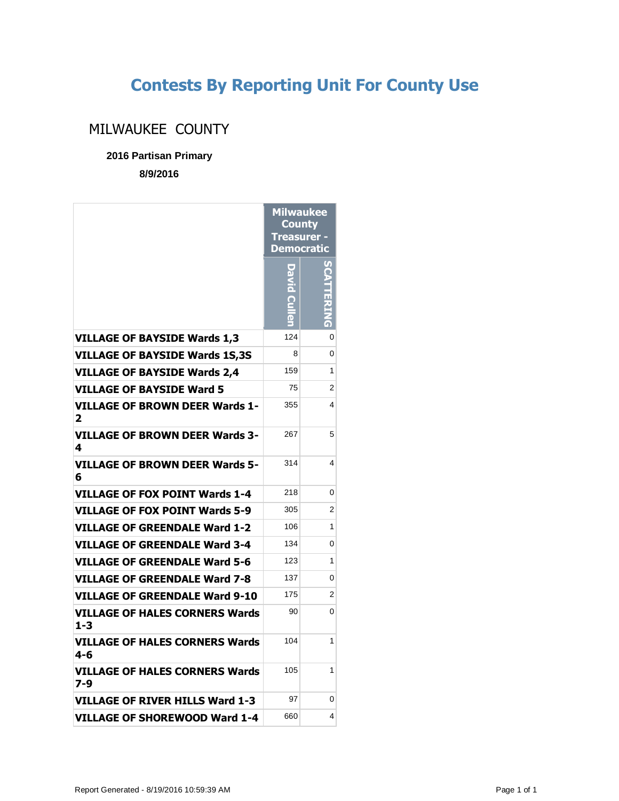## **Contests By Reporting Unit For County Use**

## MILWAUKEE COUNTY

**2016 Partisan Primary**

**8/9/2016**

|                                                  | Milwaukee<br>County<br>Treasurer -<br>Democratic |                |
|--------------------------------------------------|--------------------------------------------------|----------------|
|                                                  |                                                  |                |
| <b>VILLAGE OF BAYSIDE Wards 1,3</b>              | 124                                              | 0              |
| <b>VILLAGE OF BAYSIDE Wards 1S,3S</b>            | 8                                                | 0              |
| <b>VILLAGE OF BAYSIDE Wards 2,4</b>              | 159                                              | 1              |
| <b>VILLAGE OF BAYSIDE Ward 5</b>                 | 75                                               | 2              |
| <b>VILLAGE OF BROWN DEER Wards 1-</b><br>2       | 355                                              | 4              |
| <b>VILLAGE OF BROWN DEER Wards 3-</b><br>4       | 267                                              | 5              |
| VILLAGE OF BROWN DEER Wards 5-<br>6              | 314                                              | 4              |
| <b>VILLAGE OF FOX POINT Wards 1-4</b>            | 218                                              | 0              |
| <b>VILLAGE OF FOX POINT Wards 5-9</b>            | 305                                              | 2              |
| <b>VILLAGE OF GREENDALE Ward 1-2</b>             | 106                                              | 1              |
| <b>VILLAGE OF GREENDALE Ward 3-4</b>             | 134                                              | 0              |
| VILLAGE OF GREENDALE Ward 5-6                    | 123                                              | 1              |
| <b>VILLAGE OF GREENDALE Ward 7-8</b>             | 137                                              | 0              |
| <b>VILLAGE OF GREENDALE Ward 9-10</b>            | 175                                              | $\overline{2}$ |
| <b>VILLAGE OF HALES CORNERS Wards</b><br>$1 - 3$ | 90                                               | 0              |
| VILLAGE OF HALES CORNERS Wards<br>$4 - 6$        | 104                                              | 1              |
| VILLAGE OF HALES CORNERS Wards<br>7-9            | 105                                              | 1              |
| VILLAGE OF RIVER HILLS Ward 1-3                  | 97                                               | 0              |
| VILLAGE OF SHOREWOOD Ward 1-4                    | 660                                              | 4              |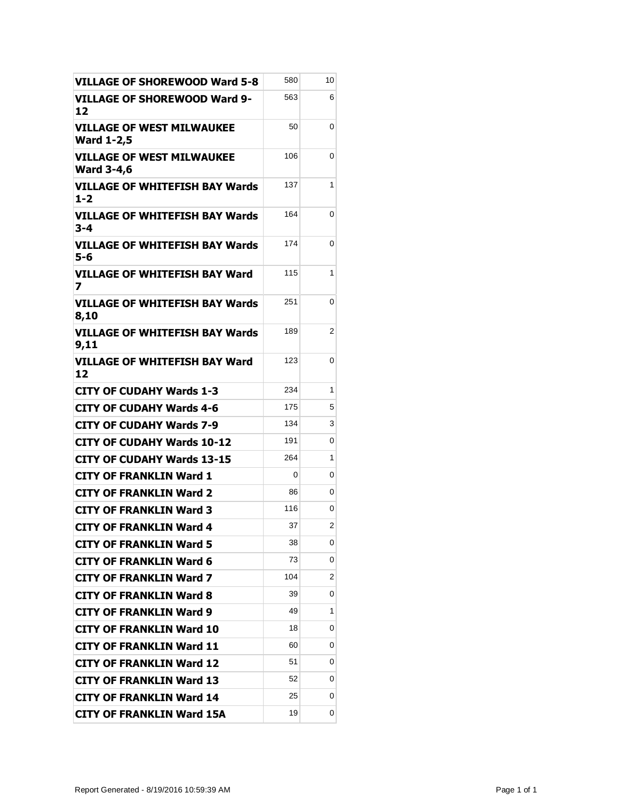| <b>VILLAGE OF SHOREWOOD Ward 5-8</b>                  | 580 | 10             |
|-------------------------------------------------------|-----|----------------|
| <b>VILLAGE OF SHOREWOOD Ward 9-</b><br>12             | 563 | 6              |
| <b>VILLAGE OF WEST MILWAUKEE</b><br><b>Ward 1-2,5</b> | 50  | 0              |
| <b>VILLAGE OF WEST MILWAUKEE</b><br><b>Ward 3-4,6</b> | 106 | 0              |
| VILLAGE OF WHITEFISH BAY Wards<br>$1 - 2$             | 137 | 1              |
| <b>VILLAGE OF WHITEFISH BAY Wards</b><br>3-4          | 164 | 0              |
| <b>VILLAGE OF WHITEFISH BAY Wards</b><br>$5 - 6$      | 174 | 0              |
| VILLAGE OF WHITEFISH BAY Ward<br>7                    | 115 | 1              |
| <b>VILLAGE OF WHITEFISH BAY Wards</b><br>8,10         | 251 | 0              |
| <b>VILLAGE OF WHITEFISH BAY Wards</b><br>9,11         | 189 | 2              |
| VILLAGE OF WHITEFISH BAY Ward<br>12                   | 123 | 0              |
| <b>CITY OF CUDAHY Wards 1-3</b>                       | 234 | 1              |
| <b>CITY OF CUDAHY Wards 4-6</b>                       | 175 | 5              |
| <b>CITY OF CUDAHY Wards 7-9</b>                       | 134 | 3              |
| <b>CITY OF CUDAHY Wards 10-12</b>                     | 191 | 0              |
| <b>CITY OF CUDAHY Wards 13-15</b>                     | 264 | 1              |
| <b>CITY OF FRANKLIN Ward 1</b>                        | 0   | 0              |
| <b>CITY OF FRANKLIN Ward 2</b>                        | 86  | 0              |
| <b>CITY OF FRANKLIN Ward 3</b>                        | 116 | 0              |
| <b>CITY OF FRANKLIN Ward 4</b>                        | 37  | $\overline{2}$ |
| <b>CITY OF FRANKLIN Ward 5</b>                        | 38  | 0              |
| <b>CITY OF FRANKLIN Ward 6</b>                        | 73  | 0              |
| <b>CITY OF FRANKLIN Ward 7</b>                        | 104 | 2              |
| <b>CITY OF FRANKLIN Ward 8</b>                        | 39  | 0              |
| <b>CITY OF FRANKLIN Ward 9</b>                        | 49  | 1              |
| <b>CITY OF FRANKLIN Ward 10</b>                       | 18  | 0              |
| <b>CITY OF FRANKLIN Ward 11</b>                       | 60  | 0              |
| <b>CITY OF FRANKLIN Ward 12</b>                       | 51  | 0              |
| <b>CITY OF FRANKLIN Ward 13</b>                       | 52  | 0              |
| <b>CITY OF FRANKLIN Ward 14</b>                       | 25  | 0              |
| <b>CITY OF FRANKLIN Ward 15A</b>                      | 19  | 0              |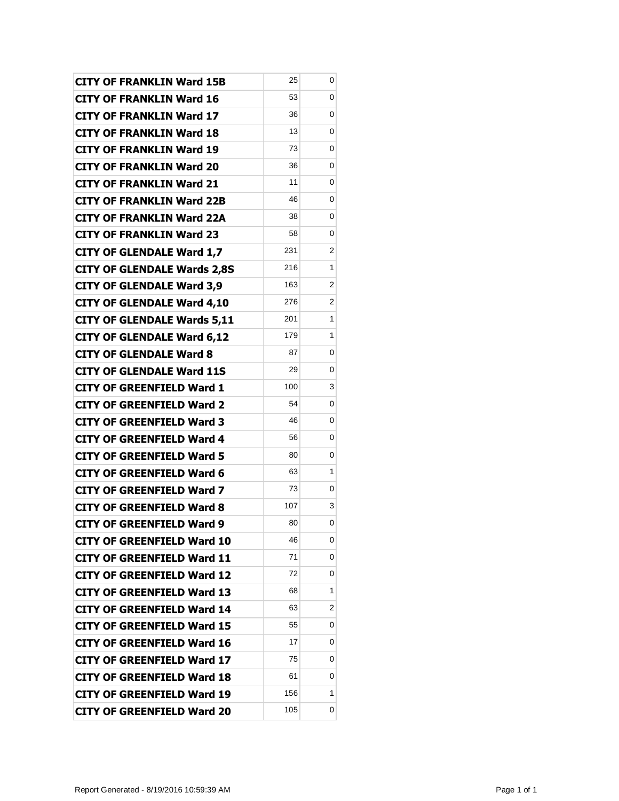| <b>CITY OF FRANKLIN Ward 15B</b>   | 25  | 0 |
|------------------------------------|-----|---|
| <b>CITY OF FRANKLIN Ward 16</b>    | 53  | 0 |
| <b>CITY OF FRANKLIN Ward 17</b>    | 36  | 0 |
| <b>CITY OF FRANKLIN Ward 18</b>    | 13  | 0 |
| <b>CITY OF FRANKLIN Ward 19</b>    | 73  | 0 |
| <b>CITY OF FRANKLIN Ward 20</b>    | 36  | 0 |
| <b>CITY OF FRANKLIN Ward 21</b>    | 11  | 0 |
| <b>CITY OF FRANKLIN Ward 22B</b>   | 46  | 0 |
| <b>CITY OF FRANKLIN Ward 22A</b>   | 38  | 0 |
| <b>CITY OF FRANKLIN Ward 23</b>    | 58  | 0 |
| <b>CITY OF GLENDALE Ward 1,7</b>   | 231 | 2 |
| <b>CITY OF GLENDALE Wards 2,8S</b> | 216 | 1 |
| <b>CITY OF GLENDALE Ward 3,9</b>   | 163 | 2 |
| <b>CITY OF GLENDALE Ward 4,10</b>  | 276 | 2 |
| <b>CITY OF GLENDALE Wards 5,11</b> | 201 | 1 |
| <b>CITY OF GLENDALE Ward 6,12</b>  | 179 | 1 |
| <b>CITY OF GLENDALE Ward 8</b>     | 87  | 0 |
| <b>CITY OF GLENDALE Ward 11S</b>   | 29  | 0 |
| <b>CITY OF GREENFIELD Ward 1</b>   | 100 | 3 |
| <b>CITY OF GREENFIELD Ward 2</b>   | 54  | 0 |
| <b>CITY OF GREENFIELD Ward 3</b>   | 46  | 0 |
| <b>CITY OF GREENFIELD Ward 4</b>   | 56  | 0 |
| <b>CITY OF GREENFIELD Ward 5</b>   | 80  | 0 |
| <b>CITY OF GREENFIELD Ward 6</b>   | 63  | 1 |
| <b>CITY OF GREENFIELD Ward 7</b>   | 73  | 0 |
| <b>CITY OF GREENFIELD Ward 8</b>   | 107 | 3 |
| CITY OF GREENFIELD Ward 9          | 80  | 0 |
| <b>CITY OF GREENFIELD Ward 10</b>  | 46  | 0 |
| <b>CITY OF GREENFIELD Ward 11</b>  | 71  | 0 |
| <b>CITY OF GREENFIELD Ward 12</b>  | 72  | 0 |
| <b>CITY OF GREENFIELD Ward 13</b>  | 68  | 1 |
| <b>CITY OF GREENFIELD Ward 14</b>  | 63  | 2 |
| <b>CITY OF GREENFIELD Ward 15</b>  | 55  | 0 |
| <b>CITY OF GREENFIELD Ward 16</b>  | 17  | 0 |
| <b>CITY OF GREENFIELD Ward 17</b>  | 75  | 0 |
| <b>CITY OF GREENFIELD Ward 18</b>  | 61  | 0 |
| <b>CITY OF GREENFIELD Ward 19</b>  | 156 | 1 |
| <b>CITY OF GREENFIELD Ward 20</b>  | 105 | 0 |
|                                    |     |   |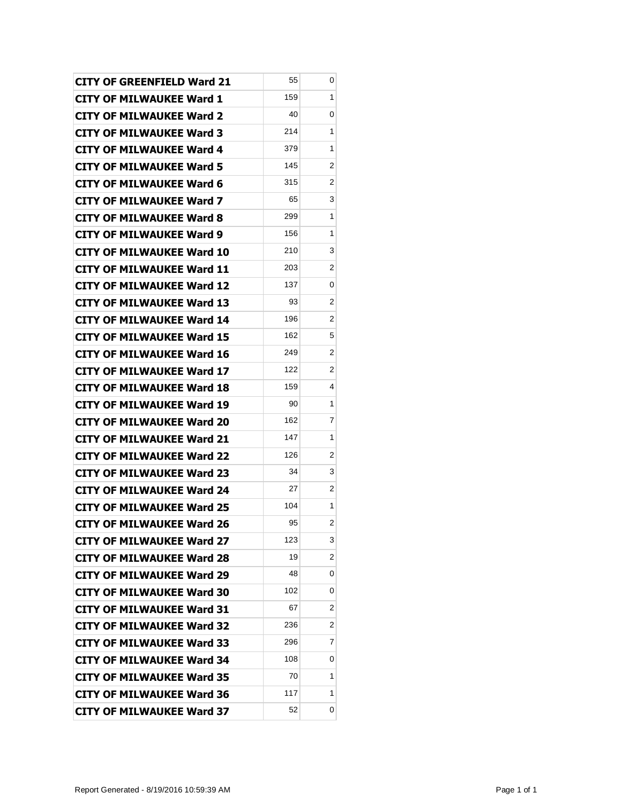| <b>CITY OF GREENFIELD Ward 21</b> | 55  | 0                       |
|-----------------------------------|-----|-------------------------|
| <b>CITY OF MILWAUKEE Ward 1</b>   | 159 | 1                       |
| <b>CITY OF MILWAUKEE Ward 2</b>   | 40  | 0                       |
| <b>CITY OF MILWAUKEE Ward 3</b>   | 214 | 1                       |
| <b>CITY OF MILWAUKEE Ward 4</b>   | 379 | 1                       |
| <b>CITY OF MILWAUKEE Ward 5</b>   | 145 | 2                       |
| <b>CITY OF MILWAUKEE Ward 6</b>   | 315 | 2                       |
| <b>CITY OF MILWAUKEE Ward 7</b>   | 65  | 3                       |
| <b>CITY OF MILWAUKEE Ward 8</b>   | 299 | 1                       |
| CITY OF MILWAUKEE Ward 9          | 156 | 1                       |
| <b>CITY OF MILWAUKEE Ward 10</b>  | 210 | 3                       |
| <b>CITY OF MILWAUKEE Ward 11</b>  | 203 | 2                       |
| CITY OF MILWAUKEE Ward 12         | 137 | 0                       |
| <b>CITY OF MILWAUKEE Ward 13</b>  | 93  | 2                       |
| <b>CITY OF MILWAUKEE Ward 14</b>  | 196 | 2                       |
| <b>CITY OF MILWAUKEE Ward 15</b>  | 162 | 5                       |
| <b>CITY OF MILWAUKEE Ward 16</b>  | 249 | 2                       |
| <b>CITY OF MILWAUKEE Ward 17</b>  | 122 | 2                       |
| <b>CITY OF MILWAUKEE Ward 18</b>  | 159 | 4                       |
| <b>CITY OF MILWAUKEE Ward 19</b>  | 90  | 1                       |
| <b>CITY OF MILWAUKEE Ward 20</b>  | 162 | 7                       |
| <b>CITY OF MILWAUKEE Ward 21</b>  | 147 | 1                       |
| <b>CITY OF MILWAUKEE Ward 22</b>  | 126 | 2                       |
| <b>CITY OF MILWAUKEE Ward 23</b>  | 34  | 3                       |
| <b>CITY OF MILWAUKEE Ward 24</b>  | 27  | 2                       |
| <b>CITY OF MILWAUKEE Ward 25</b>  | 104 | 1                       |
| CITY OF MILWAUKEE Ward 26         | 95  | $\overline{\mathbf{c}}$ |
| <b>CITY OF MILWAUKEE Ward 27</b>  | 123 | 3                       |
| <b>CITY OF MILWAUKEE Ward 28</b>  | 19  | 2                       |
| <b>CITY OF MILWAUKEE Ward 29</b>  | 48  | 0                       |
| <b>CITY OF MILWAUKEE Ward 30</b>  | 102 | 0                       |
| <b>CITY OF MILWAUKEE Ward 31</b>  | 67  | 2                       |
| <b>CITY OF MILWAUKEE Ward 32</b>  | 236 | 2                       |
| <b>CITY OF MILWAUKEE Ward 33</b>  | 296 | 7                       |
| <b>CITY OF MILWAUKEE Ward 34</b>  | 108 | 0                       |
| <b>CITY OF MILWAUKEE Ward 35</b>  | 70  | 1                       |
| <b>CITY OF MILWAUKEE Ward 36</b>  | 117 | 1                       |
| <b>CITY OF MILWAUKEE Ward 37</b>  | 52  | 0                       |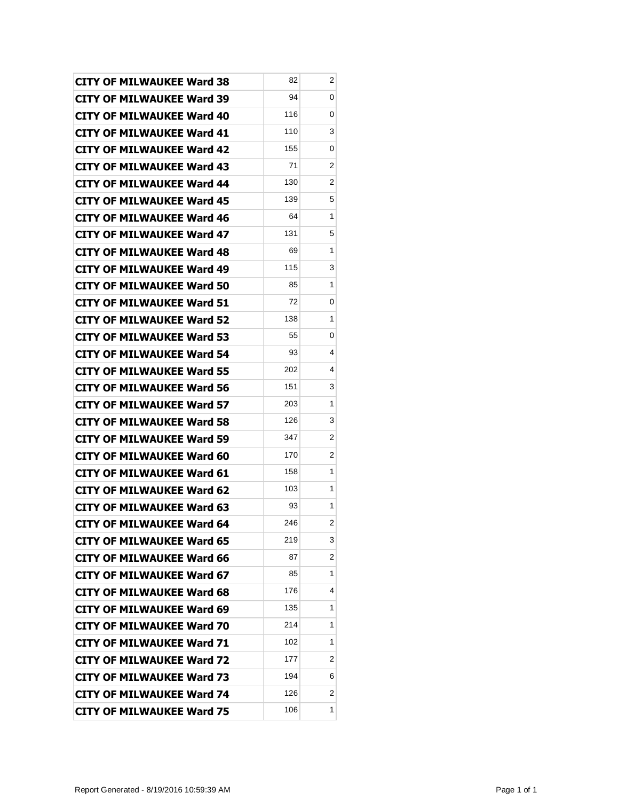|                                                                      | 82  | 2                       |
|----------------------------------------------------------------------|-----|-------------------------|
| <b>CITY OF MILWAUKEE Ward 38</b><br><b>CITY OF MILWAUKEE Ward 39</b> | 94  | 0                       |
| <b>CITY OF MILWAUKEE Ward 40</b>                                     | 116 | 0                       |
| <b>CITY OF MILWAUKEE Ward 41</b>                                     | 110 | 3                       |
| <b>CITY OF MILWAUKEE Ward 42</b>                                     | 155 | 0                       |
| <b>CITY OF MILWAUKEE Ward 43</b>                                     | 71  | 2                       |
| <b>CITY OF MILWAUKEE Ward 44</b>                                     | 130 | $\overline{2}$          |
| <b>CITY OF MILWAUKEE Ward 45</b>                                     | 139 | 5                       |
| <b>CITY OF MILWAUKEE Ward 46</b>                                     | 64  | 1                       |
| <b>CITY OF MILWAUKEE Ward 47</b>                                     | 131 | 5                       |
| <b>CITY OF MILWAUKEE Ward 48</b>                                     | 69  | 1                       |
| <b>CITY OF MILWAUKEE Ward 49</b>                                     | 115 | 3                       |
| <b>CITY OF MILWAUKEE Ward 50</b>                                     | 85  | 1                       |
| <b>CITY OF MILWAUKEE Ward 51</b>                                     | 72  | 0                       |
| <b>CITY OF MILWAUKEE Ward 52</b>                                     | 138 | 1                       |
| <b>CITY OF MILWAUKEE Ward 53</b>                                     | 55  | 0                       |
| <b>CITY OF MILWAUKEE Ward 54</b>                                     | 93  | 4                       |
| <b>CITY OF MILWAUKEE Ward 55</b>                                     | 202 | 4                       |
| <b>CITY OF MILWAUKEE Ward 56</b>                                     | 151 | 3                       |
| <b>CITY OF MILWAUKEE Ward 57</b>                                     | 203 | 1                       |
| <b>CITY OF MILWAUKEE Ward 58</b>                                     | 126 | 3                       |
| <b>CITY OF MILWAUKEE Ward 59</b>                                     | 347 | 2                       |
| CITY OF MILWAUKEE Ward 60                                            | 170 | 2                       |
| <b>CITY OF MILWAUKEE Ward 61</b>                                     | 158 | 1                       |
| <b>CITY OF MILWAUKEE Ward 62</b>                                     | 103 | 1                       |
| <b>CITY OF MILWAUKEE Ward 63</b>                                     | 93  | 1                       |
| CITY OF MILWAUKEE Ward 64                                            | 246 | $\overline{\mathbf{c}}$ |
| <b>CITY OF MILWAUKEE Ward 65</b>                                     | 219 | 3                       |
| <b>CITY OF MILWAUKEE Ward 66</b>                                     | 87  | 2                       |
| <b>CITY OF MILWAUKEE Ward 67</b>                                     | 85  | 1                       |
| <b>CITY OF MILWAUKEE Ward 68</b>                                     | 176 | 4                       |
| <b>CITY OF MILWAUKEE Ward 69</b>                                     | 135 | 1                       |
| <b>CITY OF MILWAUKEE Ward 70</b>                                     | 214 | 1                       |
| <b>CITY OF MILWAUKEE Ward 71</b>                                     | 102 | 1                       |
| <b>CITY OF MILWAUKEE Ward 72</b>                                     | 177 | 2                       |
| <b>CITY OF MILWAUKEE Ward 73</b>                                     | 194 | 6                       |
| <b>CITY OF MILWAUKEE Ward 74</b>                                     | 126 | 2                       |
| <b>CITY OF MILWAUKEE Ward 75</b>                                     | 106 | 1                       |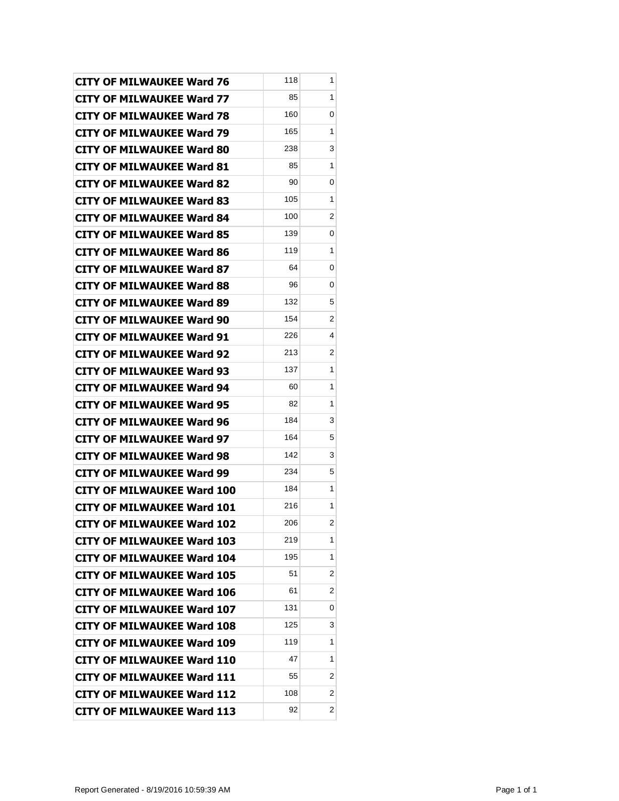| <b>CITY OF MILWAUKEE Ward 76</b>  | 118 | 1              |
|-----------------------------------|-----|----------------|
| <b>CITY OF MILWAUKEE Ward 77</b>  | 85  | 1              |
| <b>CITY OF MILWAUKEE Ward 78</b>  | 160 | 0              |
| <b>CITY OF MILWAUKEE Ward 79</b>  | 165 | 1              |
| <b>CITY OF MILWAUKEE Ward 80</b>  | 238 | 3              |
| <b>CITY OF MILWAUKEE Ward 81</b>  | 85  | 1              |
| <b>CITY OF MILWAUKEE Ward 82</b>  | 90  | 0              |
| <b>CITY OF MILWAUKEE Ward 83</b>  | 105 | 1              |
| <b>CITY OF MILWAUKEE Ward 84</b>  | 100 | 2              |
| <b>CITY OF MILWAUKEE Ward 85</b>  | 139 | 0              |
| <b>CITY OF MILWAUKEE Ward 86</b>  | 119 | 1              |
| <b>CITY OF MILWAUKEE Ward 87</b>  | 64  | 0              |
| <b>CITY OF MILWAUKEE Ward 88</b>  | 96  | 0              |
| <b>CITY OF MILWAUKEE Ward 89</b>  | 132 | 5              |
| <b>CITY OF MILWAUKEE Ward 90</b>  | 154 | 2              |
| <b>CITY OF MILWAUKEE Ward 91</b>  | 226 | 4              |
| <b>CITY OF MILWAUKEE Ward 92</b>  | 213 | $\overline{2}$ |
| <b>CITY OF MILWAUKEE Ward 93</b>  | 137 | 1              |
| <b>CITY OF MILWAUKEE Ward 94</b>  | 60  | 1              |
| <b>CITY OF MILWAUKEE Ward 95</b>  | 82  | 1              |
| <b>CITY OF MILWAUKEE Ward 96</b>  | 184 | 3              |
| <b>CITY OF MILWAUKEE Ward 97</b>  | 164 | 5              |
| <b>CITY OF MILWAUKEE Ward 98</b>  | 142 | 3              |
| <b>CITY OF MILWAUKEE Ward 99</b>  | 234 | 5              |
| <b>CITY OF MILWAUKEE Ward 100</b> | 184 | 1              |
| <b>CITY OF MILWAUKEE Ward 101</b> | 216 | 1              |
| <b>CITY OF MILWAUKEE Ward 102</b> | 206 | 2              |
| <b>CITY OF MILWAUKEE Ward 103</b> | 219 | 1              |
| <b>CITY OF MILWAUKEE Ward 104</b> | 195 | 1              |
| <b>CITY OF MILWAUKEE Ward 105</b> | 51  | 2              |
| <b>CITY OF MILWAUKEE Ward 106</b> | 61  | 2              |
| <b>CITY OF MILWAUKEE Ward 107</b> | 131 | 0              |
| <b>CITY OF MILWAUKEE Ward 108</b> | 125 | 3              |
| <b>CITY OF MILWAUKEE Ward 109</b> | 119 | 1              |
| <b>CITY OF MILWAUKEE Ward 110</b> | 47  | 1              |
| <b>CITY OF MILWAUKEE Ward 111</b> | 55  | 2              |
| <b>CITY OF MILWAUKEE Ward 112</b> | 108 | 2              |
| <b>CITY OF MILWAUKEE Ward 113</b> | 92  | 2              |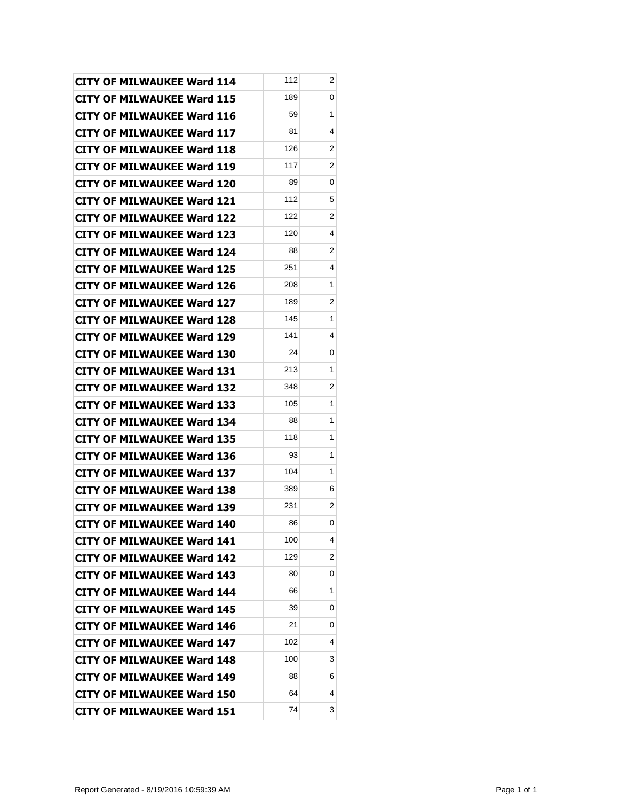| <b>CITY OF MILWAUKEE Ward 114</b> | 112 | 2 |
|-----------------------------------|-----|---|
| <b>CITY OF MILWAUKEE Ward 115</b> | 189 | 0 |
| <b>CITY OF MILWAUKEE Ward 116</b> | 59  | 1 |
| <b>CITY OF MILWAUKEE Ward 117</b> | 81  | 4 |
| <b>CITY OF MILWAUKEE Ward 118</b> | 126 | 2 |
| <b>CITY OF MILWAUKEE Ward 119</b> | 117 | 2 |
| <b>CITY OF MILWAUKEE Ward 120</b> | 89  | 0 |
| <b>CITY OF MILWAUKEE Ward 121</b> | 112 | 5 |
| <b>CITY OF MILWAUKEE Ward 122</b> | 122 | 2 |
| <b>CITY OF MILWAUKEE Ward 123</b> | 120 | 4 |
| <b>CITY OF MILWAUKEE Ward 124</b> | 88  | 2 |
| <b>CITY OF MILWAUKEE Ward 125</b> | 251 | 4 |
| <b>CITY OF MILWAUKEE Ward 126</b> | 208 | 1 |
| <b>CITY OF MILWAUKEE Ward 127</b> | 189 | 2 |
| <b>CITY OF MILWAUKEE Ward 128</b> | 145 | 1 |
| <b>CITY OF MILWAUKEE Ward 129</b> | 141 | 4 |
| <b>CITY OF MILWAUKEE Ward 130</b> | 24  | 0 |
| <b>CITY OF MILWAUKEE Ward 131</b> | 213 | 1 |
| <b>CITY OF MILWAUKEE Ward 132</b> | 348 | 2 |
| <b>CITY OF MILWAUKEE Ward 133</b> | 105 | 1 |
| <b>CITY OF MILWAUKEE Ward 134</b> | 88  | 1 |
| <b>CITY OF MILWAUKEE Ward 135</b> | 118 | 1 |
| <b>CITY OF MILWAUKEE Ward 136</b> | 93  | 1 |
| <b>CITY OF MILWAUKEE Ward 137</b> | 104 | 1 |
| CITY OF MILWAUKEE Ward 138        | 389 | 6 |
| <b>CITY OF MILWAUKEE Ward 139</b> | 231 | 2 |
| <b>CITY OF MILWAUKEE Ward 140</b> | 86  | 0 |
| <b>CITY OF MILWAUKEE Ward 141</b> | 100 | 4 |
| <b>CITY OF MILWAUKEE Ward 142</b> | 129 | 2 |
| <b>CITY OF MILWAUKEE Ward 143</b> | 80  | 0 |
| <b>CITY OF MILWAUKEE Ward 144</b> | 66  | 1 |
| <b>CITY OF MILWAUKEE Ward 145</b> | 39  | 0 |
| <b>CITY OF MILWAUKEE Ward 146</b> | 21  | 0 |
| <b>CITY OF MILWAUKEE Ward 147</b> | 102 | 4 |
| <b>CITY OF MILWAUKEE Ward 148</b> | 100 | 3 |
| <b>CITY OF MILWAUKEE Ward 149</b> | 88  | 6 |
| <b>CITY OF MILWAUKEE Ward 150</b> | 64  | 4 |
| <b>CITY OF MILWAUKEE Ward 151</b> | 74  | 3 |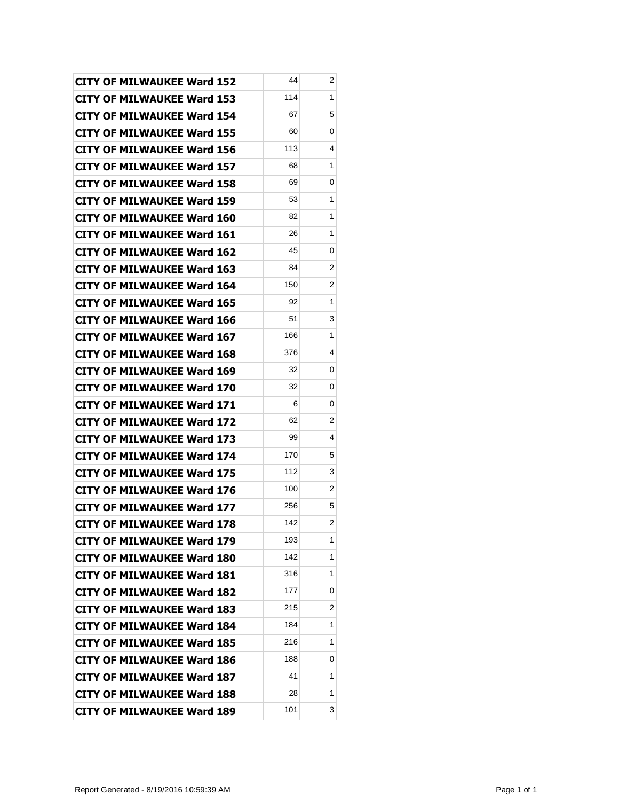| <b>CITY OF MILWAUKEE Ward 152</b> | 44  | 2                       |
|-----------------------------------|-----|-------------------------|
| <b>CITY OF MILWAUKEE Ward 153</b> | 114 | 1                       |
| <b>CITY OF MILWAUKEE Ward 154</b> | 67  | 5                       |
| <b>CITY OF MILWAUKEE Ward 155</b> | 60  | 0                       |
| <b>CITY OF MILWAUKEE Ward 156</b> | 113 | 4                       |
| <b>CITY OF MILWAUKEE Ward 157</b> | 68  | 1                       |
| <b>CITY OF MILWAUKEE Ward 158</b> | 69  | 0                       |
| <b>CITY OF MILWAUKEE Ward 159</b> | 53  | 1                       |
| <b>CITY OF MILWAUKEE Ward 160</b> | 82  | 1                       |
| <b>CITY OF MILWAUKEE Ward 161</b> | 26  | 1                       |
| <b>CITY OF MILWAUKEE Ward 162</b> | 45  | 0                       |
| <b>CITY OF MILWAUKEE Ward 163</b> | 84  | 2                       |
| CITY OF MILWAUKEE Ward 164        | 150 | 2                       |
| <b>CITY OF MILWAUKEE Ward 165</b> | 92  | 1                       |
| <b>CITY OF MILWAUKEE Ward 166</b> | 51  | 3                       |
| <b>CITY OF MILWAUKEE Ward 167</b> | 166 | $\mathbf{1}$            |
| <b>CITY OF MILWAUKEE Ward 168</b> | 376 | 4                       |
| CITY OF MILWAUKEE Ward 169        | 32  | 0                       |
| <b>CITY OF MILWAUKEE Ward 170</b> | 32  | 0                       |
| <b>CITY OF MILWAUKEE Ward 171</b> | 6   | 0                       |
| <b>CITY OF MILWAUKEE Ward 172</b> | 62  | 2                       |
| <b>CITY OF MILWAUKEE Ward 173</b> | 99  | 4                       |
| CITY OF MILWAUKEE Ward 174        | 170 | 5                       |
| <b>CITY OF MILWAUKEE Ward 175</b> | 112 | 3                       |
| <b>CITY OF MILWAUKEE Ward 176</b> | 100 | 2                       |
| <b>CITY OF MILWAUKEE Ward 177</b> | 256 | 5                       |
| CITY OF MILWAUKEE Ward 178        | 142 | $\overline{\mathbf{c}}$ |
| <b>CITY OF MILWAUKEE Ward 179</b> | 193 | 1                       |
| <b>CITY OF MILWAUKEE Ward 180</b> | 142 | 1                       |
| <b>CITY OF MILWAUKEE Ward 181</b> | 316 | 1                       |
| <b>CITY OF MILWAUKEE Ward 182</b> | 177 | 0                       |
| <b>CITY OF MILWAUKEE Ward 183</b> | 215 | 2                       |
| <b>CITY OF MILWAUKEE Ward 184</b> | 184 | 1                       |
| <b>CITY OF MILWAUKEE Ward 185</b> | 216 | 1                       |
| <b>CITY OF MILWAUKEE Ward 186</b> | 188 | 0                       |
| <b>CITY OF MILWAUKEE Ward 187</b> | 41  | 1                       |
| <b>CITY OF MILWAUKEE Ward 188</b> | 28  | 1                       |
| <b>CITY OF MILWAUKEE Ward 189</b> | 101 | 3                       |
|                                   |     |                         |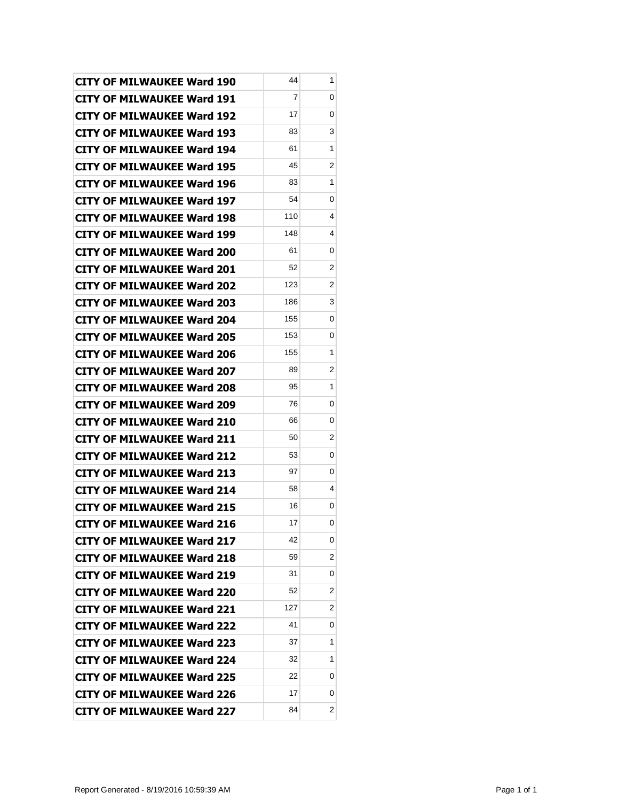| <b>CITY OF MILWAUKEE Ward 190</b> | 44  | 1 |
|-----------------------------------|-----|---|
| <b>CITY OF MILWAUKEE Ward 191</b> | 7   | 0 |
| <b>CITY OF MILWAUKEE Ward 192</b> | 17  | 0 |
| <b>CITY OF MILWAUKEE Ward 193</b> | 83  | 3 |
| <b>CITY OF MILWAUKEE Ward 194</b> | 61  | 1 |
| <b>CITY OF MILWAUKEE Ward 195</b> | 45  | 2 |
| <b>CITY OF MILWAUKEE Ward 196</b> | 83  | 1 |
| <b>CITY OF MILWAUKEE Ward 197</b> | 54  | 0 |
| <b>CITY OF MILWAUKEE Ward 198</b> | 110 | 4 |
| <b>CITY OF MILWAUKEE Ward 199</b> | 148 | 4 |
| <b>CITY OF MILWAUKEE Ward 200</b> | 61  | 0 |
| <b>CITY OF MILWAUKEE Ward 201</b> | 52  | 2 |
| <b>CITY OF MILWAUKEE Ward 202</b> | 123 | 2 |
| <b>CITY OF MILWAUKEE Ward 203</b> | 186 | 3 |
| <b>CITY OF MILWAUKEE Ward 204</b> | 155 | 0 |
| <b>CITY OF MILWAUKEE Ward 205</b> | 153 | 0 |
| <b>CITY OF MILWAUKEE Ward 206</b> | 155 | 1 |
| <b>CITY OF MILWAUKEE Ward 207</b> | 89  | 2 |
| <b>CITY OF MILWAUKEE Ward 208</b> | 95  | 1 |
| <b>CITY OF MILWAUKEE Ward 209</b> | 76  | 0 |
| <b>CITY OF MILWAUKEE Ward 210</b> | 66  | 0 |
| <b>CITY OF MILWAUKEE Ward 211</b> | 50  | 2 |
| <b>CITY OF MILWAUKEE Ward 212</b> | 53  | 0 |
| <b>CITY OF MILWAUKEE Ward 213</b> | 97  | 0 |
| <b>CITY OF MILWAUKEE Ward 214</b> | 58  | 4 |
| <b>CITY OF MILWAUKEE Ward 215</b> | 16  | 0 |
| CITY OF MILWAUKEE Ward 216        | 17  | 0 |
| <b>CITY OF MILWAUKEE Ward 217</b> | 42  | 0 |
| <b>CITY OF MILWAUKEE Ward 218</b> | 59  | 2 |
| <b>CITY OF MILWAUKEE Ward 219</b> | 31  | 0 |
| <b>CITY OF MILWAUKEE Ward 220</b> | 52  | 2 |
| <b>CITY OF MILWAUKEE Ward 221</b> | 127 | 2 |
| <b>CITY OF MILWAUKEE Ward 222</b> | 41  | 0 |
| <b>CITY OF MILWAUKEE Ward 223</b> | 37  | 1 |
| <b>CITY OF MILWAUKEE Ward 224</b> | 32  | 1 |
| <b>CITY OF MILWAUKEE Ward 225</b> | 22  | 0 |
| <b>CITY OF MILWAUKEE Ward 226</b> | 17  | 0 |
| <b>CITY OF MILWAUKEE Ward 227</b> | 84  | 2 |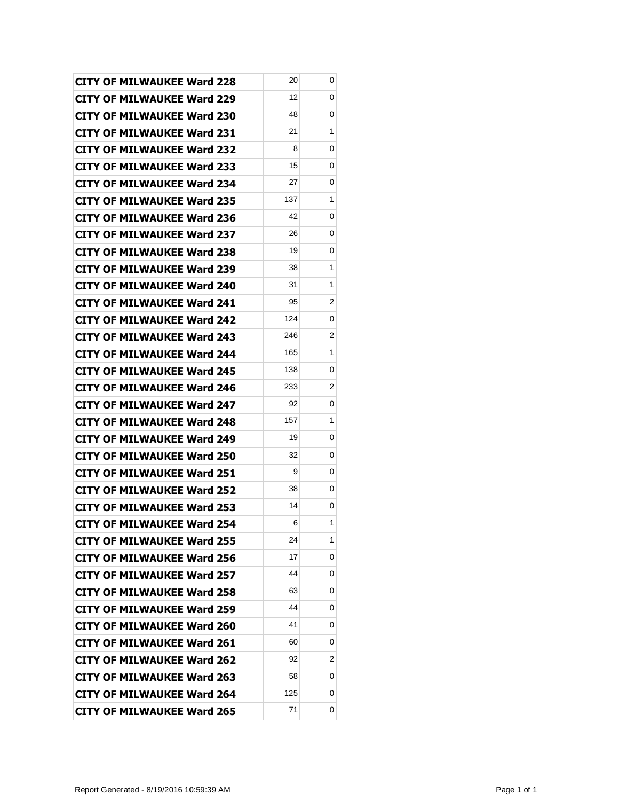| <b>CITY OF MILWAUKEE Ward 228</b> | 20  | 0 |
|-----------------------------------|-----|---|
| <b>CITY OF MILWAUKEE Ward 229</b> | 12  | 0 |
| <b>CITY OF MILWAUKEE Ward 230</b> | 48  | 0 |
| <b>CITY OF MILWAUKEE Ward 231</b> | 21  | 1 |
| <b>CITY OF MILWAUKEE Ward 232</b> | 8   | 0 |
| <b>CITY OF MILWAUKEE Ward 233</b> | 15  | 0 |
| CITY OF MILWAUKEE Ward 234        | 27  | 0 |
| <b>CITY OF MILWAUKEE Ward 235</b> | 137 | 1 |
| <b>CITY OF MILWAUKEE Ward 236</b> | 42  | 0 |
| <b>CITY OF MILWAUKEE Ward 237</b> | 26  | 0 |
| <b>CITY OF MILWAUKEE Ward 238</b> | 19  | 0 |
| CITY OF MILWAUKEE Ward 239        | 38  | 1 |
| <b>CITY OF MILWAUKEE Ward 240</b> | 31  | 1 |
| <b>CITY OF MILWAUKEE Ward 241</b> | 95  | 2 |
| CITY OF MILWAUKEE Ward 242        | 124 | 0 |
| <b>CITY OF MILWAUKEE Ward 243</b> | 246 | 2 |
| <b>CITY OF MILWAUKEE Ward 244</b> | 165 | 1 |
| <b>CITY OF MILWAUKEE Ward 245</b> | 138 | 0 |
| <b>CITY OF MILWAUKEE Ward 246</b> | 233 | 2 |
| <b>CITY OF MILWAUKEE Ward 247</b> | 92  | 0 |
| <b>CITY OF MILWAUKEE Ward 248</b> | 157 | 1 |
| <b>CITY OF MILWAUKEE Ward 249</b> | 19  | 0 |
| <b>CITY OF MILWAUKEE Ward 250</b> | 32  | 0 |
| <b>CITY OF MILWAUKEE Ward 251</b> | 9   | 0 |
| <b>CITY OF MILWAUKEE Ward 252</b> | 38  | 0 |
| <b>CITY OF MILWAUKEE Ward 253</b> | 14  | 0 |
| <b>CITY OF MILWAUKEE Ward 254</b> | 6   | 1 |
| <b>CITY OF MILWAUKEE Ward 255</b> | 24  | 1 |
| <b>CITY OF MILWAUKEE Ward 256</b> | 17  | 0 |
| <b>CITY OF MILWAUKEE Ward 257</b> | 44  | 0 |
| <b>CITY OF MILWAUKEE Ward 258</b> | 63  | 0 |
| <b>CITY OF MILWAUKEE Ward 259</b> | 44  | 0 |
| <b>CITY OF MILWAUKEE Ward 260</b> | 41  | 0 |
| <b>CITY OF MILWAUKEE Ward 261</b> | 60  | 0 |
| <b>CITY OF MILWAUKEE Ward 262</b> | 92  | 2 |
| <b>CITY OF MILWAUKEE Ward 263</b> | 58  | 0 |
| <b>CITY OF MILWAUKEE Ward 264</b> | 125 | 0 |
| <b>CITY OF MILWAUKEE Ward 265</b> | 71  | 0 |
|                                   |     |   |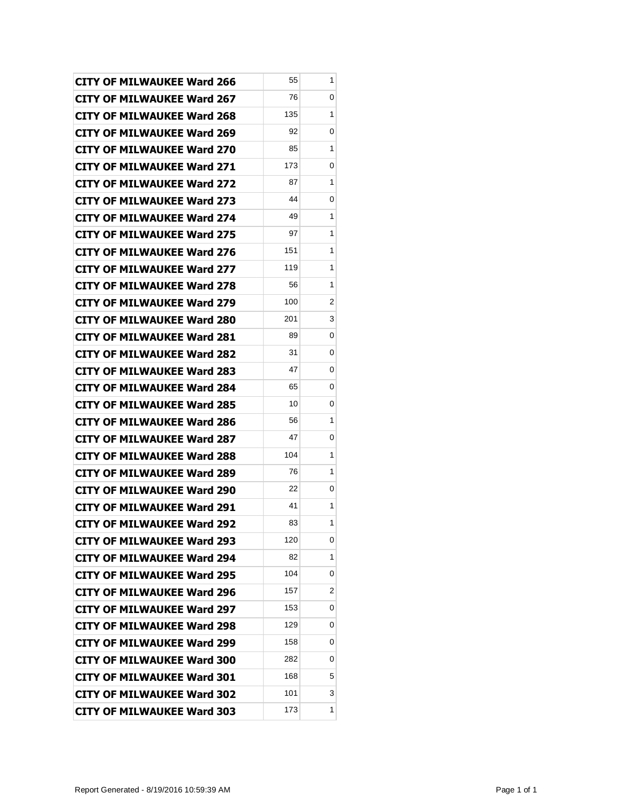| <b>CITY OF MILWAUKEE Ward 266</b> | 55  | 1 |
|-----------------------------------|-----|---|
| <b>CITY OF MILWAUKEE Ward 267</b> | 76  | 0 |
| <b>CITY OF MILWAUKEE Ward 268</b> | 135 | 1 |
| <b>CITY OF MILWAUKEE Ward 269</b> | 92  | 0 |
| <b>CITY OF MILWAUKEE Ward 270</b> | 85  | 1 |
| <b>CITY OF MILWAUKEE Ward 271</b> | 173 | 0 |
| CITY OF MILWAUKEE Ward 272        | 87  | 1 |
| <b>CITY OF MILWAUKEE Ward 273</b> | 44  | 0 |
| <b>CITY OF MILWAUKEE Ward 274</b> | 49  | 1 |
| <b>CITY OF MILWAUKEE Ward 275</b> | 97  | 1 |
| <b>CITY OF MILWAUKEE Ward 276</b> | 151 | 1 |
| CITY OF MILWAUKEE Ward 277        | 119 | 1 |
| <b>CITY OF MILWAUKEE Ward 278</b> | 56  | 1 |
| <b>CITY OF MILWAUKEE Ward 279</b> | 100 | 2 |
| <b>CITY OF MILWAUKEE Ward 280</b> | 201 | 3 |
| <b>CITY OF MILWAUKEE Ward 281</b> | 89  | 0 |
| <b>CITY OF MILWAUKEE Ward 282</b> | 31  | 0 |
| <b>CITY OF MILWAUKEE Ward 283</b> | 47  | 0 |
| <b>CITY OF MILWAUKEE Ward 284</b> | 65  | 0 |
| <b>CITY OF MILWAUKEE Ward 285</b> | 10  | 0 |
| <b>CITY OF MILWAUKEE Ward 286</b> | 56  | 1 |
| <b>CITY OF MILWAUKEE Ward 287</b> | 47  | 0 |
| <b>CITY OF MILWAUKEE Ward 288</b> | 104 | 1 |
| <b>CITY OF MILWAUKEE Ward 289</b> | 76  | 1 |
| <b>CITY OF MILWAUKEE Ward 290</b> | 22  | 0 |
| <b>CITY OF MILWAUKEE Ward 291</b> | 41  | 1 |
| <b>CITY OF MILWAUKEE Ward 292</b> | 83  | 1 |
| <b>CITY OF MILWAUKEE Ward 293</b> | 120 | 0 |
| <b>CITY OF MILWAUKEE Ward 294</b> | 82  | 1 |
| <b>CITY OF MILWAUKEE Ward 295</b> | 104 | 0 |
| <b>CITY OF MILWAUKEE Ward 296</b> | 157 | 2 |
| <b>CITY OF MILWAUKEE Ward 297</b> | 153 | 0 |
| <b>CITY OF MILWAUKEE Ward 298</b> | 129 | 0 |
| <b>CITY OF MILWAUKEE Ward 299</b> | 158 | 0 |
| <b>CITY OF MILWAUKEE Ward 300</b> | 282 | 0 |
| <b>CITY OF MILWAUKEE Ward 301</b> | 168 | 5 |
| <b>CITY OF MILWAUKEE Ward 302</b> | 101 | 3 |
| <b>CITY OF MILWAUKEE Ward 303</b> | 173 | 1 |
|                                   |     |   |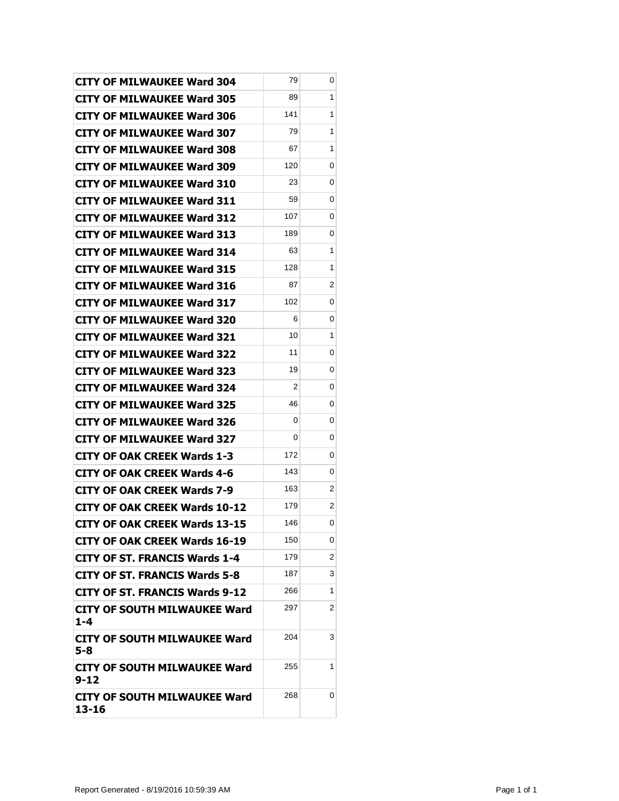| <b>CITY OF MILWAUKEE Ward 304</b>            | 79  | 0 |
|----------------------------------------------|-----|---|
| <b>CITY OF MILWAUKEE Ward 305</b>            | 89  | 1 |
| CITY OF MILWAUKEE Ward 306                   | 141 | 1 |
| <b>CITY OF MILWAUKEE Ward 307</b>            | 79  | 1 |
| <b>CITY OF MILWAUKEE Ward 308</b>            | 67  | 1 |
| <b>CITY OF MILWAUKEE Ward 309</b>            | 120 | 0 |
| <b>CITY OF MILWAUKEE Ward 310</b>            | 23  | 0 |
| <b>CITY OF MILWAUKEE Ward 311</b>            | 59  | 0 |
| <b>CITY OF MILWAUKEE Ward 312</b>            | 107 | 0 |
| <b>CITY OF MILWAUKEE Ward 313</b>            | 189 | 0 |
| <b>CITY OF MILWAUKEE Ward 314</b>            | 63  | 1 |
| <b>CITY OF MILWAUKEE Ward 315</b>            | 128 | 1 |
| <b>CITY OF MILWAUKEE Ward 316</b>            | 87  | 2 |
| <b>CITY OF MILWAUKEE Ward 317</b>            | 102 | 0 |
| <b>CITY OF MILWAUKEE Ward 320</b>            | 6   | 0 |
| <b>CITY OF MILWAUKEE Ward 321</b>            | 10  | 1 |
| <b>CITY OF MILWAUKEE Ward 322</b>            | 11  | 0 |
| <b>CITY OF MILWAUKEE Ward 323</b>            | 19  | 0 |
| <b>CITY OF MILWAUKEE Ward 324</b>            | 2   | 0 |
| <b>CITY OF MILWAUKEE Ward 325</b>            | 46  | 0 |
| <b>CITY OF MILWAUKEE Ward 326</b>            | 0   | 0 |
| <b>CITY OF MILWAUKEE Ward 327</b>            | 0   | 0 |
| <b>CITY OF OAK CREEK Wards 1-3</b>           | 172 | 0 |
| <b>CITY OF OAK CREEK Wards 4-6</b>           | 143 | 0 |
| <b>CITY OF OAK CREEK Wards 7-9</b>           | 163 | 2 |
| <b>CITY OF OAK CREEK Wards 10-12</b>         | 179 | 2 |
| CITY OF OAK CREEK Wards 13-15                | 146 | 0 |
| CITY OF OAK CREEK Wards 16-19                | 150 | 0 |
| <b>CITY OF ST. FRANCIS Wards 1-4</b>         | 179 | 2 |
| <b>CITY OF ST. FRANCIS Wards 5-8</b>         | 187 | 3 |
| <b>CITY OF ST. FRANCIS Wards 9-12</b>        | 266 | 1 |
| CITY OF SOUTH MILWAUKEE Ward<br>$1 - 4$      | 297 | 2 |
| CITY OF SOUTH MILWAUKEE Ward<br>5-8          | 204 | 3 |
| CITY OF SOUTH MILWAUKEE Ward<br>$9 - 12$     | 255 | 1 |
| <b>CITY OF SOUTH MILWAUKEE Ward</b><br>13-16 | 268 | 0 |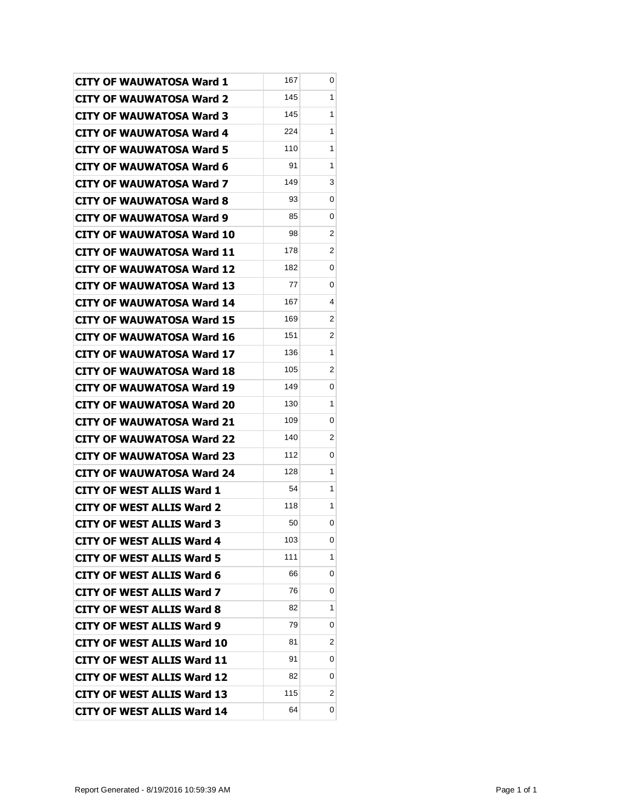| <b>CITY OF WAUWATOSA Ward 1</b>   | 167 | 0              |
|-----------------------------------|-----|----------------|
| <b>CITY OF WAUWATOSA Ward 2</b>   | 145 | 1              |
| <b>CITY OF WAUWATOSA Ward 3</b>   | 145 | 1              |
| <b>CITY OF WAUWATOSA Ward 4</b>   | 224 | 1              |
| <b>CITY OF WAUWATOSA Ward 5</b>   | 110 | 1              |
| <b>CITY OF WAUWATOSA Ward 6</b>   | 91  | 1              |
| <b>CITY OF WAUWATOSA Ward 7</b>   | 149 | 3              |
| <b>CITY OF WAUWATOSA Ward 8</b>   | 93  | 0              |
| <b>CITY OF WAUWATOSA Ward 9</b>   | 85  | 0              |
| CITY OF WAUWATOSA Ward 10         | 98  | 2              |
| <b>CITY OF WAUWATOSA Ward 11</b>  | 178 | 2              |
| <b>CITY OF WAUWATOSA Ward 12</b>  | 182 | 0              |
| <b>CITY OF WAUWATOSA Ward 13</b>  | 77  | 0              |
| CITY OF WAUWATOSA Ward 14         | 167 | 4              |
| <b>CITY OF WAUWATOSA Ward 15</b>  | 169 | 2              |
| <b>CITY OF WAUWATOSA Ward 16</b>  | 151 | 2              |
| <b>CITY OF WAUWATOSA Ward 17</b>  | 136 | 1              |
| <b>CITY OF WAUWATOSA Ward 18</b>  | 105 | 2              |
| <b>CITY OF WAUWATOSA Ward 19</b>  | 149 | 0              |
| <b>CITY OF WAUWATOSA Ward 20</b>  | 130 | 1              |
| <b>CITY OF WAUWATOSA Ward 21</b>  | 109 | 0              |
| <b>CITY OF WAUWATOSA Ward 22</b>  | 140 | $\overline{2}$ |
| <b>CITY OF WAUWATOSA Ward 23</b>  | 112 | 0              |
| <b>CITY OF WAUWATOSA Ward 24</b>  | 128 | 1              |
| CITY OF WEST ALLIS Ward 1         | 54  | 1              |
| <b>CITY OF WEST ALLIS Ward 2</b>  | 118 | 1              |
| <b>CITY OF WEST ALLIS Ward 3</b>  | 50  | 0              |
| <b>CITY OF WEST ALLIS Ward 4</b>  | 103 | 0              |
| <b>CITY OF WEST ALLIS Ward 5</b>  | 111 | 1              |
| <b>CITY OF WEST ALLIS Ward 6</b>  | 66  | 0              |
| <b>CITY OF WEST ALLIS Ward 7</b>  | 76  | 0              |
| <b>CITY OF WEST ALLIS Ward 8</b>  | 82  | 1              |
| <b>CITY OF WEST ALLIS Ward 9</b>  | 79  | 0              |
| <b>CITY OF WEST ALLIS Ward 10</b> | 81  | 2              |
| <b>CITY OF WEST ALLIS Ward 11</b> | 91  | 0              |
| <b>CITY OF WEST ALLIS Ward 12</b> | 82  | 0              |
| <b>CITY OF WEST ALLIS Ward 13</b> | 115 | 2              |
| <b>CITY OF WEST ALLIS Ward 14</b> | 64  | 0              |